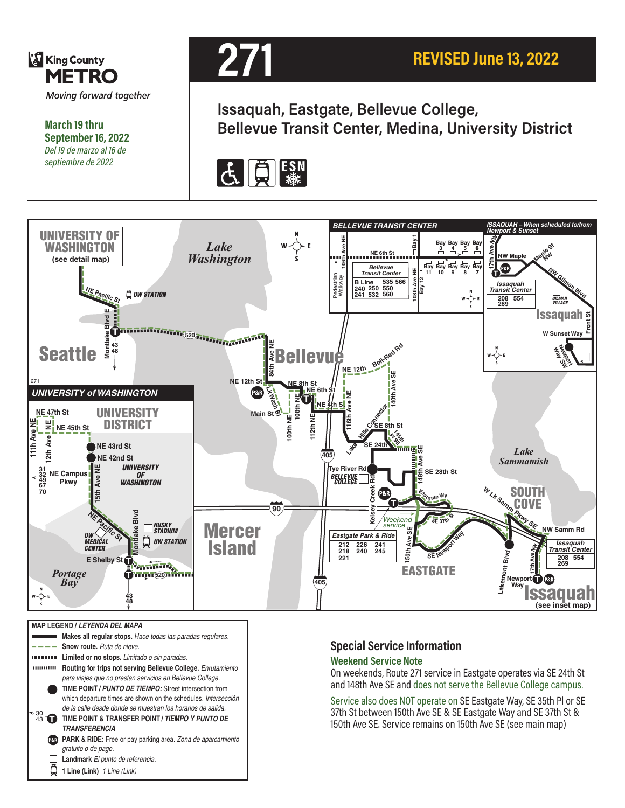

**March 19 thru September 16, 2022** *Del 19 de marzo al 16 de septiembre de 2022*



**Issaquah, Eastgate, Bellevue College, Bellevue Transit Center, Medina, University District**





|                | <b>MAP LEGEND / LEYENDA DEL MAPA</b>                                   |
|----------------|------------------------------------------------------------------------|
|                | Makes all requiar stops. Hace todas las paradas regulares.             |
|                | <b>Snow route.</b> Ruta de nieve.                                      |
|                | Limited or no stops. Limitado o sin paradas.                           |
|                | Routing for trips not serving Bellevue College. Enrutamiento           |
|                | para viajes que no prestan servicios en Bellevue College.              |
|                | TIME POINT / PUNTO DE TIEMPO: Street intersection from                 |
|                | which departure times are shown on the schedules. Intersección         |
| 30             | de la calle desde donde se muestran los horarios de salida.            |
|                | TIME POINT & TRANSFER POINT / <i>TIEMPO Y PUNTO DE</i>                 |
|                | <b><i>TRANSFERENCIA</i></b>                                            |
| <b>P&amp;R</b> | <b>PARK &amp; RIDE:</b> Free or pay parking area. Zona de aparcamiento |
|                | gratuito o de pago.                                                    |
|                | Landmark El punto de referencia.                                       |
|                | 1 Line (Link) 1 Line (Link)                                            |

#### **Special Service Information**

#### **Weekend Service Note**

On weekends, Route 271 service in Eastgate operates via SE 24th St and 148th Ave SE and does not serve the Bellevue College campus.

Service also does NOT operate on SE Eastgate Way, SE 35th Pl or SE 37th St between 150th Ave SE & SE Eastgate Way and SE 37th St & 150th Ave SE. Service remains on 150th Ave SE (see main map)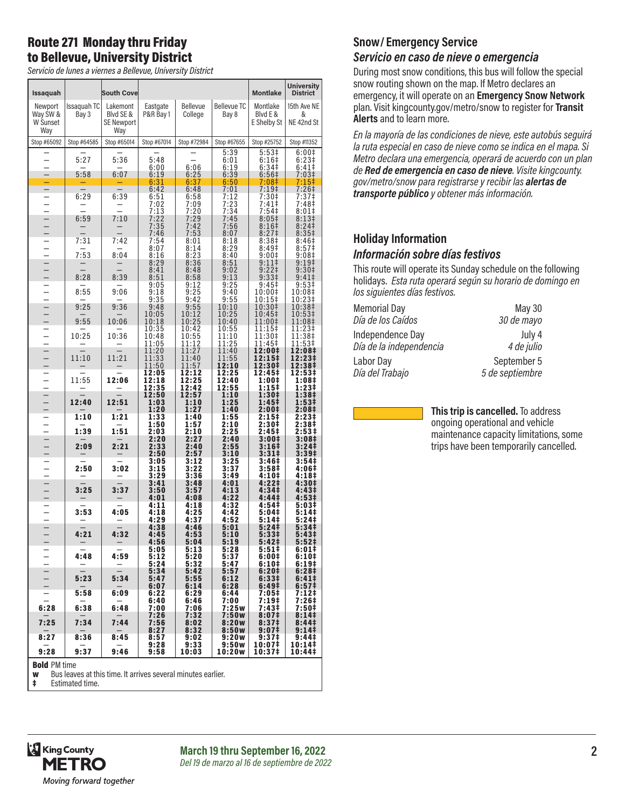# Route 271 Monday thru Friday to Bellevue, University District

*Servicio de lunes a viernes a Bellevue, University District*

| Issaquah                                             |                                       | <b>South Cove</b>                                 |                                |                                |                                 | <b>Montlake</b>                                 | <b>University</b><br><b>District</b>            |
|------------------------------------------------------|---------------------------------------|---------------------------------------------------|--------------------------------|--------------------------------|---------------------------------|-------------------------------------------------|-------------------------------------------------|
| Newport<br>Way SW &<br>W Sunset<br>Way               | Issaquah TC<br>Bay 3                  | Lakemont<br>Blyd SE &<br><b>SE Newport</b><br>Way | Eastgate<br>P&R Bay 1          | Bellevue<br>College            | <b>Bellevue TC</b><br>Bay 8     | Montlake<br>Blvd E &<br>E Shelby St             | 15th Ave NE<br>&<br>NE 42nd St                  |
| Stop #65092                                          | Stop #64585                           | Stop #65014                                       | Stop #67014                    | Stop #72984                    | Stop #67655                     | Stop #25752                                     | Stop #11352                                     |
| $\overline{\phantom{0}}$<br>$\overline{\phantom{0}}$ | 5:27<br>5:58                          | 5:36<br>6:07                                      | 5:48<br>6:00<br>6:19           | 6:06<br>6:25                   | 5:39<br>6:01<br>6:19<br>6:39    | 5:53‡<br>$6:16+$<br>6:34 <sup>‡</sup><br>6:56‡  | 6:00‡<br>6:23‡<br>6:41‡<br>7:03‡                |
| $\overline{a}$                                       |                                       |                                                   | 6:31                           | 6:37                           | 6:50                            | 7:08‡                                           | 7:15‡                                           |
| $\overline{\phantom{0}}$                             | 6:29                                  | 6:39                                              | 6:42<br>6:51<br>7:02<br>7:13   | 6:48<br>6:58<br>7:09<br>7:20   | 7:01<br>7:12<br>7:23<br>7:34    | 7:19 <sup>‡</sup><br>7:30‡<br>$7:41$ ‡<br>7:54  | 7:26‡<br>7:37‡<br>7:48‡<br>8:01‡                |
| $\frac{1}{2}$                                        | 6:59                                  | 7:10<br>$\overline{\phantom{a}}$                  | 7:22<br>7:35<br>7:46           | 7:29<br>7:42<br>7:53           | 7:45<br>7:56<br>8:07            | $8:05\ddagger$<br>8:16 <sup>‡</sup><br>$8:27$ ‡ | 8:13 <sup>‡</sup><br>8:24<br>8:35‡              |
|                                                      | 7:31                                  | 7:42                                              | 7:54<br>8:07                   | 8:01                           | 8:18<br>8:29                    | 8:38 <sup>‡</sup>                               | 8:46‡<br>8:57 <sup>‡</sup>                      |
| $\frac{1}{1}$                                        | 7:53                                  | 8:04                                              | 8:16                           | 8:14<br>8:23                   | 8:40                            | 8:49‡<br>9:00‡                                  | 9:08#                                           |
|                                                      | 8:28                                  | 8:39                                              | 8:29<br>8:41<br>8:51           | 8:36<br>8:48<br>8:58           | 8:51<br>9:02<br>9:13            | $9:11$ ‡<br>9:22‡<br>9:331                      | 9:19 <sup>‡</sup><br>9:30‡<br>$9:41 \ddagger$   |
|                                                      | 8:55                                  | 9:06                                              | 9:05<br>9:18                   | 9:12<br>9:25                   | 9:25<br>9:40                    | 9:45‡<br>10:00‡                                 | 9:53‡<br>10:08‡                                 |
| — — — — — — — —<br>— — — — — — —                     | 9:25<br>9:55                          | 9:36<br>10:06                                     | 9:35<br>9:48<br>10:05<br>10:18 | 9:42<br>9:55<br>10:12<br>10:25 | 9:55<br>10:10<br>10:25<br>10:40 | 10:15‡<br>10:30‡<br>10:45‡<br>11:00‡            | 10:23‡<br>10:38‡<br>10:53‡<br>11:08‡            |
| $\equiv$                                             | 10:25                                 | 10:36                                             | 10:35<br>10:48<br>11:05        | 10:42<br>10:55<br>11:12        | 10:55<br>11:10<br>11:25         | 11:15‡<br>11:30‡<br>11:45‡                      | 11:23‡<br>11:38‡<br>11:53‡                      |
| $\frac{1}{1}$                                        | 11:10                                 | 11:21                                             | 11:20<br>11:33<br>11:50        | 11:27<br>11:40<br>11:57        | 11:40<br>11:55<br>12:10         | 12:00‡<br>12:15‡<br>12:30‡                      | 12:08‡<br>12:23‡<br>12:38‡                      |
| $     -$                                             | 11:55                                 | 12:06                                             | 12:05<br>12:18<br>12:35        | 12:12<br>12:25<br>12:42        | 12:25<br>12:40<br>12:55         | 12:45‡<br>1:00‡<br>1:15‡                        | 12:53‡<br>1:08‡<br>1:23‡                        |
|                                                      | 12:40                                 | 12:51                                             | 12:50<br>1:03<br>1:20          | 12:57<br>1:10<br>1:27          | 1:10<br>1:25<br>1:40            | 1:30‡<br>1:45‡<br>2:00‡                         | 1:38‡<br>1:53‡<br>2:08‡                         |
|                                                      | 1:10                                  | 1:21                                              | 1:33                           | 1:40                           | 1:55                            | 2:15‡                                           | 2:23‡                                           |
| $\frac{1}{1}$                                        | 1:39                                  | 1:51                                              | 1:50<br>2:03                   | 1:57<br>2:10                   | 2:10<br>2:25                    | 2:30‡<br>2:45 <sup>‡</sup>                      | 2:38‡<br>2:53‡                                  |
| $\frac{1}{2}$                                        | 2:09                                  | 2:21                                              | 2:20<br>2:33<br>2:50           | 2:27<br>2:40<br>2:57           | 2:40<br>2:55<br>3:10            | 3:00‡<br>3:16‡<br>3:31‡                         | 3:08‡<br>3:24‡<br>3:39‡                         |
| $\frac{1}{1}$                                        | 2:50                                  | 3:02                                              | 3:05<br>3:15<br>3:29           | 3:12<br>3:22<br>3:36           | 3:25<br>3:37<br>3:49            | 3:46‡<br>3:58‡<br>4:10‡                         | 3:54‡<br>4:06‡<br>4:18‡                         |
| $\frac{1}{1}$                                        | 3:25                                  | 3:37                                              | 3:41<br>3:50<br>4:01           | 3:48<br>3:57<br>4:08           | 4:01<br>4:13<br>4:22            | 4:22‡<br>4:34‡<br>4:44‡                         | 4:30‡<br>4:43‡<br>4:53‡                         |
| $\frac{1}{1}$                                        | 3:53                                  | 4:05                                              | 4:11<br>4:18<br>4:29           | 4:18<br>4:25<br>4:37           | 4:32<br>4:42<br>4:52            | 4:54‡<br>5:04‡<br>5:14‡                         | 5:03‡<br>5:14‡<br>5:24‡                         |
|                                                      | $\overline{\phantom{0}}$<br>4:21<br>- | 4:32                                              | 4:38<br>4:45<br>4:56           | 4:46<br>4:53<br>5:04           | 5:01<br>5:10<br>5:19            | 5:24‡<br>5:33‡<br>5:42‡                         | 5:34‡<br>5:43‡<br>5:52‡                         |
|                                                      | 4:48                                  | 4:59                                              | 5:05<br>5:12<br>5:24           | 5:13<br>5:20<br>5:32           | 5:28<br>5:37<br>5:47            | 5:51‡<br>6:00‡<br>6:10‡                         | 6:01‡<br>6:10‡<br>6:19‡                         |
| $     -$                                             | 5:23                                  | 5:34                                              | 5:34<br>5:47<br>6:07           | 5:42<br>5:55<br>6:14           | 5:57<br>6:12<br>6:28            | 6:20‡<br>6:33‡<br>6:49‡                         | 6:28 <sup>‡</sup><br>6:41#<br>6:57 <sup>‡</sup> |
| $\overline{\phantom{a}}$                             | 5:58                                  | 6:09                                              | 6:22<br>6:40                   | 6:29<br>6:46                   | 6:44<br>7:00                    | 7:05‡<br>7:19‡                                  | 7:12‡<br>7:26‡                                  |
| 6:28                                                 | 6:38                                  | 6:48                                              | 7:00<br>7:26                   | 7:06<br>7:32                   | 7:25w<br>7:50w                  | 7:43#<br>8:07‡                                  | 7:50‡<br>8:14 <sup>‡</sup>                      |
| 7:25                                                 | 7:34                                  | 7:44                                              | $7:56$<br>8:27                 | 8:02<br>8:32                   | 8:20w<br>8:50w                  | 8:37‡<br>9:07 <sup>‡</sup>                      | 8:44 <sup>‡</sup><br>9:141                      |
| 8:27                                                 | 8:36                                  | 8:45                                              | 8:57<br>9:28                   | 9:02<br>9:33                   | 9:20w<br>9:50w                  | 9:37‡<br>10:07‡                                 | 9:44‡<br>10:14‡                                 |
| 9:28<br><b>Rold PM time</b>                          | 9:37                                  | 9:46                                              | 9:58                           | 10:03                          | 10:20w                          | 10:37‡                                          | 10:44‡                                          |

Bold PM time

w Bus leaves at this time. It arrives several minutes earlier.

Estimated time.

# **Snow/ Emergency Service**

### *Servicio en caso de nieve o emergencia*

During most snow conditions, this bus will follow the special snow routing shown on the map. If Metro declares an emergency, it will operate on an **Emergency Snow Network**  plan. Visit kingcounty.gov/metro/snow to register for **Transit Alerts** and to learn more.

*En la mayoría de las condiciones de nieve, este autobús seguirá la ruta especial en caso de nieve como se indica en el mapa. Si Metro declara una emergencia, operará de acuerdo con un plan de Red de emergencia en caso de nieve. Visite kingcounty. gov/metro/snow para registrarse y recibir las alertas de transporte público y obtener más información.*

#### **Holiday Information** *Información sobre días festivos*

This route will operate its Sunday schedule on the following holidays. *Esta ruta operará según su horario de domingo en los siguientes días festivos.*

| <b>Memorial Day</b>     | <b>May 30</b>   |
|-------------------------|-----------------|
| Día de los Caídos       | 30 de mayo      |
| Independence Day        | July 4          |
| Día de la independencia | 4 de julio      |
| Labor Day               | September 5     |
| Día del Trabajo         | 5 de septiembre |

**This trip is cancelled.** To address ongoing operational and vehicle maintenance capacity limitations, some trips have been temporarily cancelled.



**March 19 thru September 16, 2022 2** *Del 19 de marzo al 16 de septiembre de 2022*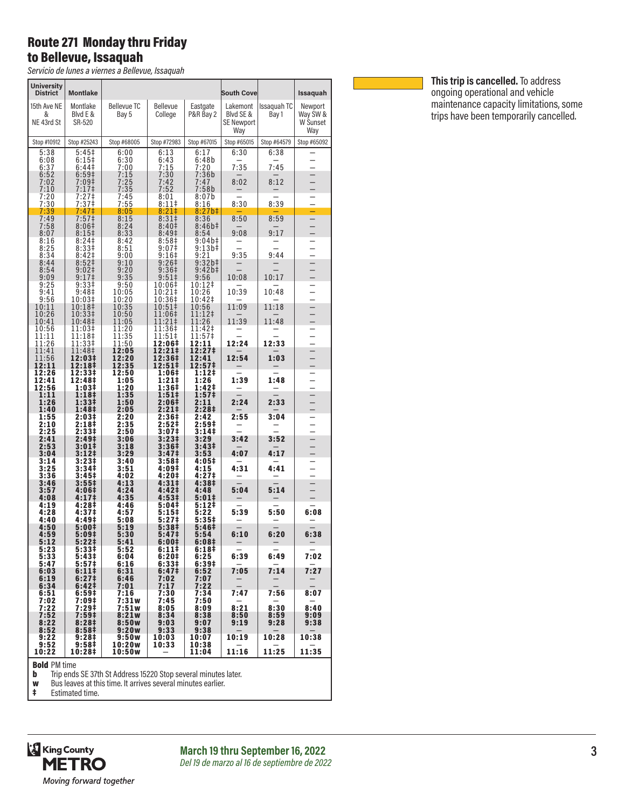### Route 271 Monday thru Friday to Bellevue, Issaquah

*Servicio de lunes a viernes a Bellevue, Issaquah*

| <b>University</b><br><b>District</b> | <b>Montlake</b>                     |                              |                                             |                                    | <b>South Cove</b>                                 |                        | Issaquah                               |
|--------------------------------------|-------------------------------------|------------------------------|---------------------------------------------|------------------------------------|---------------------------------------------------|------------------------|----------------------------------------|
| 15th Ave NE<br>&<br>NE 43rd St       | Montlake<br>Blyd E &<br>SR-520      | <b>Bellevue TC</b><br>Bay 5  | <b>Bellevue</b><br>College                  | Eastgate<br>P&R Bay 2              | Lakemont<br>Blyd SE &<br><b>SE Newport</b><br>Way | Issaguah TC<br>Bay 1   | Newport<br>Way SW &<br>W Sunset<br>Way |
| Stop #10912                          | Stop #25243                         | Stop #68005                  | Stop #72983                                 | Stop #67015                        | Stop #65015                                       | Stop #64579            | Stop #65092                            |
| 5:38<br>6:08<br>6:37<br>6:52         | 5:45‡<br>6:15‡<br>6:44‡<br>6:59‡    | 6:00<br>6:30<br>7:00<br>7:15 | 6:13<br>6:43<br>7:15<br>7:30                | 6:17<br>6:48b<br>7:20<br>7:36b     | 6:30<br>7:35                                      | 6:38<br>7:45           | $\overline{\phantom{0}}$               |
| 7:02<br>7:10                         | 7:09‡<br>7:17‡                      | 7:25<br>7:35                 | 7:42<br>7:52                                | 7:47<br>7:58b                      | 8:02                                              | 8:12                   |                                        |
| 7:20<br>7:30                         | 7:27‡<br>7:37 <sup>‡</sup>          | 7:45<br>7:55                 | 8:01<br>$8:11$ ‡                            | 8:07b<br>8:16                      | 8:30                                              | 8:39                   |                                        |
| 7:39<br>7:49<br>7:58                 | 7:47‡<br>7:57‡<br>8:06‡             | 8:05<br>8:15<br>8:24         | 8:21<br>$8:31\ddagger$<br>8:40 <sup>‡</sup> | $8:27b$ ‡<br>8:36<br>8:46b#        | 8:50                                              | 8:59                   | -<br>$\overline{\phantom{0}}$          |
| 8:07<br>8:16<br>8:25                 | 8:15 <sup>‡</sup><br>8:24<br>8:33‡  | 8:33<br>8:42<br>8:51         | 8:49‡<br>8:58‡<br>$9:07$ ‡                  | 8:54<br>9:04b‡<br>9:13b‡           | 9:08                                              | 9:17                   | -                                      |
| 8:34<br>8:44                         | 8:42‡<br>8:52‡                      | 9:00<br>9:10                 | 9:16 <sup>‡</sup><br>9:26 <sup>‡</sup>      | 9:21<br>9:32b#                     | 9:35                                              | 9:44                   |                                        |
| 8:54                                 | 9:02‡                               | 9:20                         | 9:36‡                                       | $9:42b+$                           |                                                   |                        | $\frac{1}{1}$                          |
| 9:09<br>9:25                         | 9:17 <sup>‡</sup><br>9:33‡          | 9:35<br>9:50                 | $9:51 \;$<br>10:06‡                         | 9:56<br>10:12‡                     | 10:08                                             | 10:17                  | $\overline{\phantom{0}}$               |
| 9:41<br>9:56                         | 9:48‡<br>10:03‡                     | 10:05<br>10:20               | 10:21‡<br>10:36‡                            | 10:26<br>10:42‡                    | 10:39                                             | 10:48                  | -                                      |
| 10:11<br>10:26                       | 10:18‡<br>10:33‡                    | 10:35<br>10:50               | 10:51‡<br>11:06‡                            | 10:56<br>$11:12+$                  | 11:09                                             | 11:18                  | $\overline{\phantom{0}}$               |
| 10:41<br>10:56                       | 10:48‡<br>11:03‡                    | 11:05<br>11:20               | 11:21‡<br>11:36‡                            | 11:26<br>11:42‡                    | 11:39                                             | 11:48                  | $\overline{\phantom{0}}$               |
| 11:11<br>11:26                       | 11:18‡<br>11:33‡                    | 11:35<br>11:50               | 11:51‡<br>12:06‡                            | 11:57‡<br>12:11                    | 12:24                                             | 12:33                  | -<br>$\overline{\phantom{0}}$          |
| 11:41<br>11:56<br>12:11              | 11:48‡<br>12:03‡<br>12:18‡          | 12:05<br>12:20<br>12:35      | 12:21‡<br>12:36‡<br>$12:51 \div$            | 12:27‡<br>12:41<br>12:57‡          | 12:54                                             | 1:03                   | $\overline{\phantom{a}}$               |
| 12:26<br>12:41<br>12:56              | 12:33‡<br>12:48‡<br>1:03‡           | 12:50<br>1:05<br>1:20        | 1:06‡<br>1:21‡<br>1:36‡                     | 1:12‡<br>1:26<br>1:42‡             | 1:39                                              | 1:48                   | $\equiv$                               |
| 1:11<br>1:26<br>1:40                 | 1:18‡<br>1:33‡<br>1:48‡             | 1:35<br>1:50<br>2:05         | 1:51‡<br>2:06‡<br>2:21‡                     | 1:57 <sup>‡</sup><br>2:11<br>2:28‡ | 2:24                                              | 2:33                   |                                        |
| 1:55<br>2:10<br>2:25                 | 2:03‡<br>2:18‡<br>2:33‡             | 2:20<br>2:35<br>2:50         | 2:36‡<br>2:52‡<br>3:07‡                     | 2:42<br>2:59 <sup>‡</sup><br>3:14‡ | 2:55                                              | 3:04                   | $\frac{1}{1}$                          |
| 2:41<br>2:53                         | 2:49‡<br>3:01‡                      | 3:06<br>3:18                 | 3:23‡<br>3:36‡                              | 3:29<br>3:43 <sup>‡</sup>          | 3:42                                              | 3:52                   | $\overline{\phantom{a}}$               |
| 3:04<br>3:14                         | $3:12+$<br>3:23‡                    | 3:29<br>3:40                 | 3:47‡<br>3:58‡                              | 3:53<br>4:05‡                      | 4:07                                              | 4:17                   |                                        |
| 3:25<br>3:36                         | 3:34‡<br>3:45#                      | 3:51<br>4:02                 | 4:09‡<br>4:20‡                              | 4:15<br>4:27‡                      | 4:31                                              | 4:41                   | $\overline{\phantom{0}}$               |
| 3:46<br>3:57<br>4:08                 | 3:55‡<br>4:06‡<br>4:17 <sup>‡</sup> | 4:13<br>4:24<br>4:35         | 4:31‡<br>4:42‡<br>4:53‡                     | 4:38‡<br>4:48<br>$5:01*$           | 5:04                                              | 5:14                   | $\overline{\phantom{0}}$               |
| 4:19<br>4:28<br>4:40                 | 4:28‡<br>4:37#<br>4:49‡             | 4:46<br>4:57<br>5:08         | 5:04‡<br>5:15‡<br>5:27‡                     | 5:12‡<br>5:22<br>5:35‡             | 5:39                                              | 5:50                   | 6:08                                   |
| 4:50<br>4:59<br>5:12                 | 5:00‡<br>5:09‡<br>$5:22 \;$         | 5:19<br>5:30<br>5:41         | 5:38‡<br>5:47‡<br>6:00‡                     | 5:46‡<br>5:54<br>6:08 <sup>‡</sup> | $\overline{\phantom{0}}$<br>6:10                  | $\overline{a}$<br>6:20 | $\overline{\phantom{0}}$<br>6:38       |
| 5:23<br>5:33                         | 5:33‡<br>5:43‡                      | 5:52<br>6:04                 | 6:11‡<br>6:20‡                              | 6:18‡<br>6:25                      | -<br>6:39                                         | -<br>6:49              | —<br>7:02                              |
| 5:47<br>6:03                         | 5:57‡<br>6:11‡                      | 6:16<br>6:31                 | 6:33#<br>6:47‡                              | 6:39‡<br>6:52                      | 7:05                                              | 7:14                   | 7:27                                   |
| 6:19<br>6:34                         | 6:27 <sup>‡</sup><br>6:42‡          | 6:46<br>7:01                 | 7:02<br>7:17                                | 7:07<br>7:22                       | $\overline{\phantom{0}}$                          |                        | —                                      |
| 6:51<br>7:02                         | 6:59‡<br>7:09‡                      | 7:16<br>7:31w                | 7:30<br>7:45                                | 7:34<br>7:50                       | 7:47                                              | 7:56                   | 8:07                                   |
| 7:22                                 | 7:29 <sup>‡</sup>                   | 7:51w                        | 8:05                                        | 8:09                               | 8:21                                              | 8:30                   | 8:40                                   |
| 7:52<br>8:22<br>8:52                 | 7:59 <sup>‡</sup><br>8:28‡<br>8:58‡ | 8:21w<br>8:50w<br>9:20w      | 8:34<br>9:03<br>9:33                        | 8:38<br>9:07<br>9:38               | 8:50<br>9:19                                      | 8:59<br>9:28           | 9:09<br>9:38                           |
| 9:22<br>9:52                         | 9:28‡<br>9:58 <sup>‡</sup>          | 9:50w<br>10:20w              | 10:03<br>10:33                              | 10:07<br>10:38                     | 10:19                                             | 10:28                  | 10:38                                  |
| 10:22                                | 10:28‡                              | 10:50w                       |                                             | 11:04                              | 11:16                                             | 11:25                  | 11:35                                  |

**Bold** PM time<br> **b** Trip ends SE 37th St Address 15220 Stop several minutes later.<br> **w** Bus leaves at this time. It arrives several minutes earlier.<br> **‡** Estimated time.



**March 19 thru September 16, 2022** *Del 19 de marzo al 16 de septiembre de 2022*



**This trip is cancelled.** To address ongoing operational and vehicle maintenance capacity limitations, some trips have been temporarily cancelled.